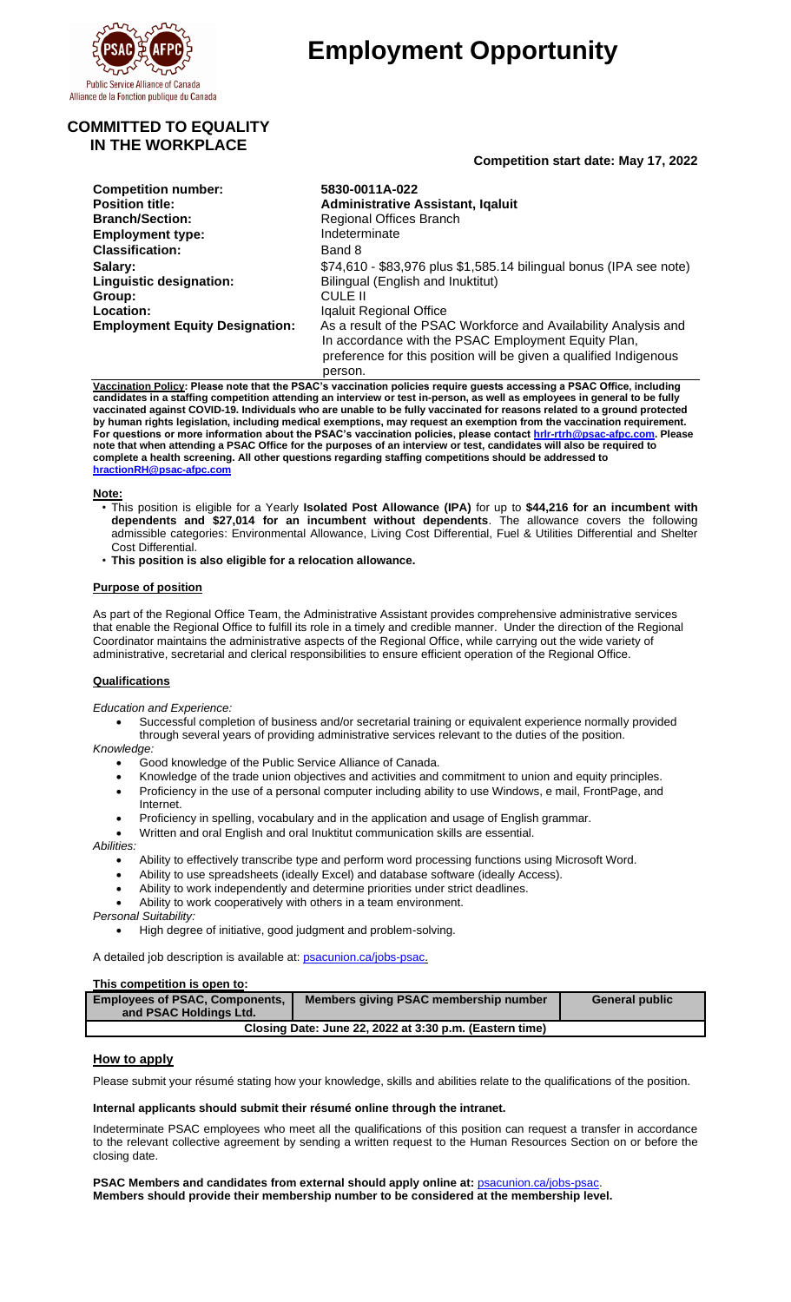

# **Employment Opportunity**

**Competition start date: May 17, 2022**

# **COMMITTED TO EQUALITY IN THE WORKPLACE**

| <b>Competition number:</b>            | 5830-0011A-022                                                                                                                                                                              |  |
|---------------------------------------|---------------------------------------------------------------------------------------------------------------------------------------------------------------------------------------------|--|
| <b>Position title:</b>                | <b>Administrative Assistant, Iqaluit</b>                                                                                                                                                    |  |
| <b>Branch/Section:</b>                | <b>Regional Offices Branch</b>                                                                                                                                                              |  |
| <b>Employment type:</b>               | Indeterminate                                                                                                                                                                               |  |
| <b>Classification:</b>                | Band 8                                                                                                                                                                                      |  |
| Salary:                               | \$74,610 - \$83,976 plus \$1,585.14 bilingual bonus (IPA see note)                                                                                                                          |  |
| Linguistic designation:               | Bilingual (English and Inuktitut)                                                                                                                                                           |  |
| Group:                                | CULE II                                                                                                                                                                                     |  |
| <b>Location:</b>                      | Igaluit Regional Office                                                                                                                                                                     |  |
| <b>Employment Equity Designation:</b> | As a result of the PSAC Workforce and Availability Analysis and<br>In accordance with the PSAC Employment Equity Plan,<br>preference for this position will be given a qualified Indigenous |  |

**Vaccination Policy: Please note that the PSAC's vaccination policies require guests accessing a PSAC Office, including candidates in a staffing competition attending an interview or test in-person, as well as employees in general to be fully vaccinated against COVID-19. Individuals who are unable to be fully vaccinated for reasons related to a ground protected by human rights legislation, including medical exemptions, may request an exemption from the vaccination requirement. For questions or more information about the PSAC's vaccination policies, please contact [hrlr-rtrh@psac-afpc.com.](mailto:hrlr-rtrh@psac-afpc.com) Please note that when attending a PSAC Office for the purposes of an interview or test, candidates will also be required to complete a health screening. All other questions regarding staffing competitions should be addressed to [hractionRH@psac-afpc.com](mailto:hractionRH@psac-afpc.com)**

person.

## **Note:**

- This position is eligible for a Yearly **Isolated Post Allowance (IPA)** for up to **\$44,216 for an incumbent with dependents and \$27,014 for an incumbent without dependents**. The allowance covers the following admissible categories: Environmental Allowance, Living Cost Differential, Fuel & Utilities Differential and Shelter Cost Differential.
- **This position is also eligible for a relocation allowance.**

## **Purpose of position**

As part of the Regional Office Team, the Administrative Assistant provides comprehensive administrative services that enable the Regional Office to fulfill its role in a timely and credible manner. Under the direction of the Regional Coordinator maintains the administrative aspects of the Regional Office, while carrying out the wide variety of administrative, secretarial and clerical responsibilities to ensure efficient operation of the Regional Office.

# **Qualifications**

*Education and Experience:*

Successful completion of business and/or secretarial training or equivalent experience normally provided through several years of providing administrative services relevant to the duties of the position.

*Knowledge:*

- Good knowledge of the Public Service Alliance of Canada.
- Knowledge of the trade union objectives and activities and commitment to union and equity principles.
- Proficiency in the use of a personal computer including ability to use Windows, e mail, FrontPage, and Internet.
- Proficiency in spelling, vocabulary and in the application and usage of English grammar.
- Written and oral English and oral Inuktitut communication skills are essential.

#### *Abilities:*

- Ability to effectively transcribe type and perform word processing functions using Microsoft Word.
- Ability to use spreadsheets (ideally Excel) and database software (ideally Access).
- Ability to work independently and determine priorities under strict deadlines.
- Ability to work cooperatively with others in a team environment.

*Personal Suitability:*

• High degree of initiative, good judgment and problem-solving.

A detailed job description is available at[: psacunion.ca/jobs-psac.](http://psacunion.ca/jobs-psac)

#### **This competition is open to:**

| <b>Employees of PSAC, Components,</b><br>and PSAC Holdings Ltd. | Members giving PSAC membership number | <b>General public</b> |
|-----------------------------------------------------------------|---------------------------------------|-----------------------|
| Closing Date: June 22, 2022 at 3:30 p.m. (Eastern time)         |                                       |                       |

## **How to apply**

Please submit your résumé stating how your knowledge, skills and abilities relate to the qualifications of the position.

# **Internal applicants should submit their résumé online through the intranet.**

Indeterminate PSAC employees who meet all the qualifications of this position can request a transfer in accordance to the relevant collective agreement by sending a written request to the Human Resources Section on or before the closing date.

**PSAC Members and candidates from external should apply online at:** [psacunion.ca/jobs-psac.](http://psacunion.ca/jobs-psac) **Members should provide their membership number to be considered at the membership level.**